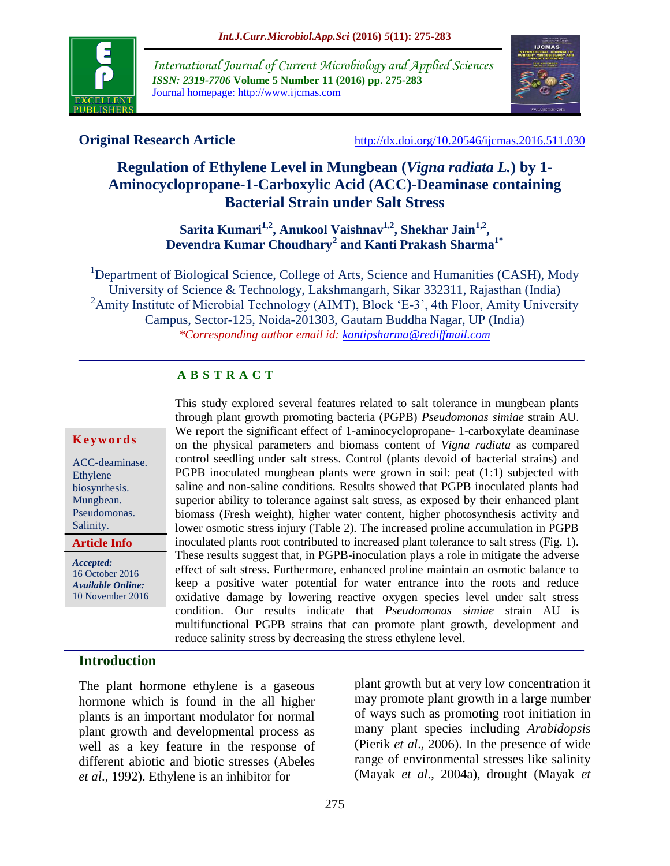

*International Journal of Current Microbiology and Applied Sciences ISSN: 2319-7706* **Volume 5 Number 11 (2016) pp. 275-283** Journal homepage: http://www.ijcmas.com



**Original Research Article** <http://dx.doi.org/10.20546/ijcmas.2016.511.030>

# **Regulation of Ethylene Level in Mungbean (***Vigna radiata L.***) by 1- Aminocyclopropane-1-Carboxylic Acid (ACC)-Deaminase containing Bacterial Strain under Salt Stress**

**Sarita Kumari1,2, Anukool Vaishnav1,2, Shekhar Jain1,2 , Devendra Kumar Choudhary<sup>2</sup> and Kanti Prakash Sharma1\***

<sup>1</sup>Department of Biological Science, College of Arts, Science and Humanities (CASH), Mody University of Science & Technology, Lakshmangarh, Sikar 332311, Rajasthan (India) <sup>2</sup>Amity Institute of Microbial Technology (AIMT), Block 'E-3', 4th Floor, Amity University Campus, Sector-125, Noida-201303, Gautam Buddha Nagar, UP (India) *\*Corresponding author email id: kantipsharma@rediffmail.com*

# **A B S T R A C T**

#### **K e y w o r d s**

ACC-deaminase. Ethylene biosynthesis. Mungbean. Pseudomonas. Salinity.

**Article Info**

*Accepted:*  16 October 2016 *Available Online:* 10 November 2016 This study explored several features related to salt tolerance in mungbean plants through plant growth promoting bacteria (PGPB) *Pseudomonas simiae* strain AU. We report the significant effect of 1-aminocyclopropane- 1-carboxylate deaminase on the physical parameters and biomass content of *Vigna radiata* as compared control seedling under salt stress. Control (plants devoid of bacterial strains) and PGPB inoculated mungbean plants were grown in soil: peat (1:1) subjected with saline and non-saline conditions. Results showed that PGPB inoculated plants had superior ability to tolerance against salt stress, as exposed by their enhanced plant biomass (Fresh weight), higher water content, higher photosynthesis activity and lower osmotic stress injury (Table 2). The increased proline accumulation in PGPB inoculated plants root contributed to increased plant tolerance to salt stress (Fig. 1). These results suggest that, in PGPB-inoculation plays a role in mitigate the adverse effect of salt stress. Furthermore, enhanced proline maintain an osmotic balance to keep a positive water potential for water entrance into the roots and reduce oxidative damage by lowering reactive oxygen species level under salt stress condition. Our results indicate that *Pseudomonas simiae* strain AU is multifunctional PGPB strains that can promote plant growth, development and reduce salinity stress by decreasing the stress ethylene level.

# **Introduction**

The plant hormone ethylene is a gaseous hormone which is found in the all higher plants is an important modulator for normal plant growth and developmental process as well as a key feature in the response of different abiotic and biotic stresses (Abeles *et al*., 1992). Ethylene is an inhibitor for

plant growth but at very low concentration it may promote plant growth in a large number of ways such as promoting root initiation in many plant species including *Arabidopsis*  (Pierik *et al*., 2006). In the presence of wide range of environmental stresses like salinity (Mayak *et al*., 2004a), drought (Mayak *et*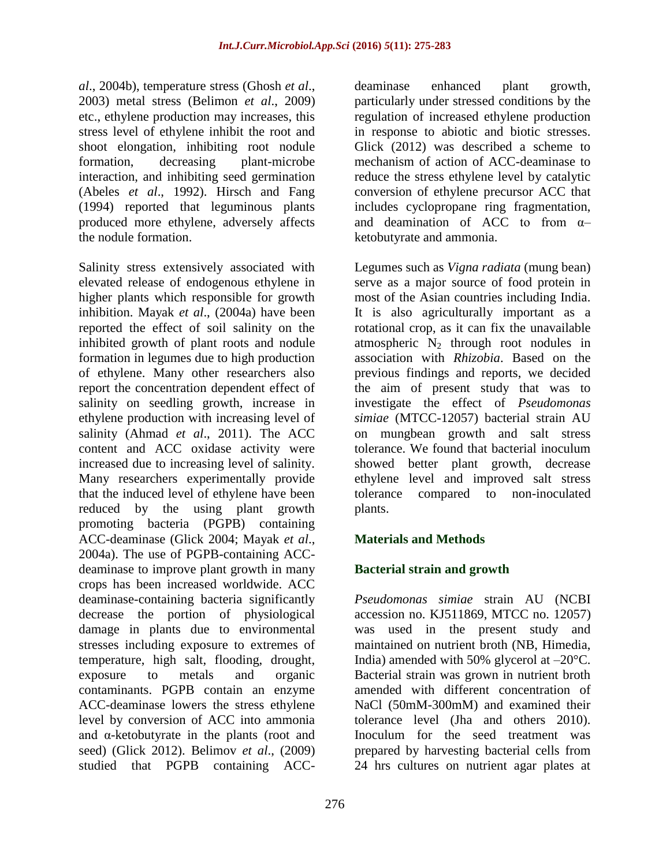*al*., 2004b), temperature stress (Ghosh *et al*., 2003) metal stress (Belimon *et al*., 2009) etc., ethylene production may increases, this stress level of ethylene inhibit the root and shoot elongation, inhibiting root nodule formation, decreasing plant-microbe interaction, and inhibiting seed germination (Abeles *et al*., 1992). Hirsch and Fang (1994) reported that leguminous plants produced more ethylene, adversely affects the nodule formation.

Salinity stress extensively associated with elevated release of endogenous ethylene in higher plants which responsible for growth inhibition. Mayak *et al*., (2004a) have been reported the effect of soil salinity on the inhibited growth of plant roots and nodule formation in legumes due to high production of ethylene. Many other researchers also report the concentration dependent effect of salinity on seedling growth, increase in ethylene production with increasing level of salinity (Ahmad *et al*., 2011). The ACC content and ACC oxidase activity were increased due to increasing level of salinity. Many researchers experimentally provide that the induced level of ethylene have been reduced by the using plant growth promoting bacteria (PGPB) containing ACC-deaminase (Glick 2004; Mayak *et al*., 2004a). The use of PGPB-containing ACCdeaminase to improve plant growth in many crops has been increased worldwide. ACC deaminase-containing bacteria significantly decrease the portion of physiological damage in plants due to environmental stresses including exposure to extremes of temperature, high salt, flooding, drought, exposure to metals and organic contaminants. PGPB contain an enzyme ACC-deaminase lowers the stress ethylene level by conversion of ACC into ammonia and α-ketobutyrate in the plants (root and seed) (Glick 2012). Belimov *et al*., (2009) studied that PGPB containing ACC-

deaminase enhanced plant growth, particularly under stressed conditions by the regulation of increased ethylene production in response to abiotic and biotic stresses. Glick (2012) was described a scheme to mechanism of action of ACC-deaminase to reduce the stress ethylene level by catalytic conversion of ethylene precursor ACC that includes cyclopropane ring fragmentation, and deamination of ACC to from α– ketobutyrate and ammonia.

Legumes such as *Vigna radiata* (mung bean) serve as a major source of food protein in most of the Asian countries including India. It is also agriculturally important as a rotational crop, as it can fix the unavailable atmospheric  $N_2$  through root nodules in association with *Rhizobia*. Based on the previous findings and reports, we decided the aim of present study that was to investigate the effect of *Pseudomonas simiae* (MTCC-12057) bacterial strain AU on mungbean growth and salt stress tolerance. We found that bacterial inoculum showed better plant growth, decrease ethylene level and improved salt stress tolerance compared to non-inoculated plants.

# **Materials and Methods**

# **Bacterial strain and growth**

*Pseudomonas simiae* strain AU (NCBI accession no. KJ511869, MTCC no. 12057) was used in the present study and maintained on nutrient broth (NB, Himedia, India) amended with 50% glycerol at  $-20^{\circ}$ C. Bacterial strain was grown in nutrient broth amended with different concentration of NaCl (50mM-300mM) and examined their tolerance level (Jha and others 2010). Inoculum for the seed treatment was prepared by harvesting bacterial cells from 24 hrs cultures on nutrient agar plates at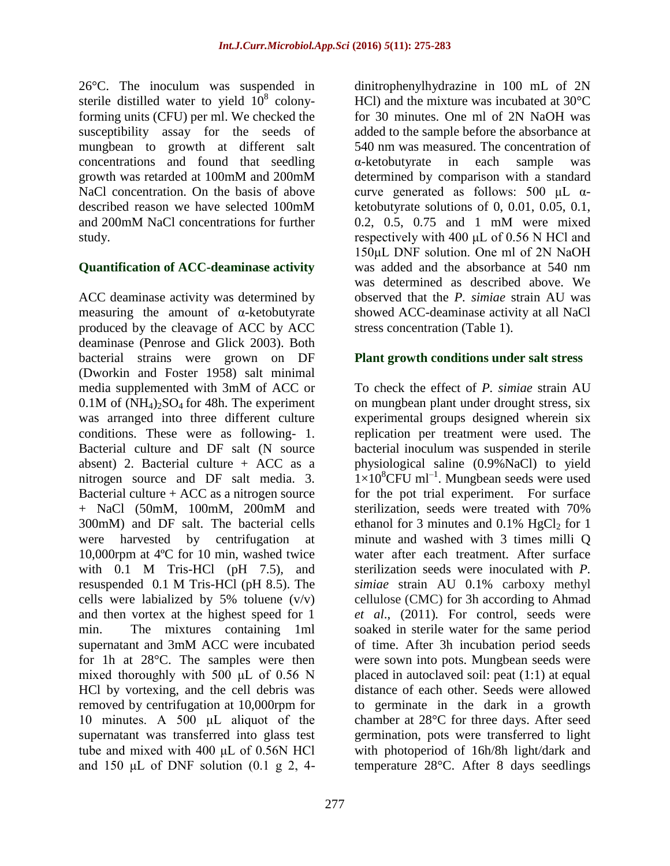26°C. The inoculum was suspended in sterile distilled water to yield  $10^8$  colonyforming units (CFU) per ml. We checked the susceptibility assay for the seeds of mungbean to growth at different salt concentrations and found that seedling growth was retarded at 100mM and 200mM NaCl concentration. On the basis of above described reason we have selected 100mM and 200mM NaCl concentrations for further study.

## **Quantification of ACC-deaminase activity**

ACC deaminase activity was determined by measuring the amount of  $\alpha$ -ketobutyrate produced by the cleavage of ACC by ACC deaminase (Penrose and Glick 2003). Both bacterial strains were grown on DF (Dworkin and Foster 1958) salt minimal media supplemented with 3mM of ACC or  $0.1M$  of  $(NH_4)_2SO_4$  for 48h. The experiment was arranged into three different culture conditions. These were as following- 1. Bacterial culture and DF salt (N source absent) 2. Bacterial culture  $+$  ACC as a nitrogen source and DF salt media. 3. Bacterial culture  $+$  ACC as a nitrogen source + NaCl (50mM, 100mM, 200mM and 300mM) and DF salt. The bacterial cells were harvested by centrifugation at 10,000rpm at 4ºC for 10 min, washed twice with 0.1 M Tris-HCl (pH 7.5), and resuspended 0.1 M Tris-HCl (pH 8.5). The cells were labialized by 5% toluene  $(v/v)$ and then vortex at the highest speed for 1 min. The mixtures containing 1ml supernatant and 3mM ACC were incubated for 1h at 28°C. The samples were then mixed thoroughly with 500 μL of 0.56 N HCl by vortexing, and the cell debris was removed by centrifugation at 10,000rpm for 10 minutes. A 500 μL aliquot of the supernatant was transferred into glass test tube and mixed with 400 μL of 0.56N HCl and 150  $\mu$ L of DNF solution (0.1 g 2, 4dinitrophenylhydrazine in 100 mL of 2N HCl) and the mixture was incubated at 30°C for 30 minutes. One ml of 2N NaOH was added to the sample before the absorbance at 540 nm was measured. The concentration of α-ketobutyrate in each sample was determined by comparison with a standard curve generated as follows:  $500 \mu L \alpha$ ketobutyrate solutions of 0, 0.01, 0.05, 0.1, 0.2, 0.5, 0.75 and 1 mM were mixed respectively with 400 μL of 0.56 N HCl and 150μL DNF solution. One ml of 2N NaOH was added and the absorbance at 540 nm was determined as described above. We observed that the *P. simiae* strain AU was showed ACC-deaminase activity at all NaCl stress concentration (Table 1).

## **Plant growth conditions under salt stress**

To check the effect of *P. simiae* strain AU on mungbean plant under drought stress, six experimental groups designed wherein six replication per treatment were used. The bacterial inoculum was suspended in sterile physiological saline (0.9%NaCl) to yield  $1\times10^{8}$ CFU ml<sup>-1</sup>. Mungbean seeds were used for the pot trial experiment. For surface sterilization, seeds were treated with 70% ethanol for 3 minutes and  $0.1\%$  HgCl<sub>2</sub> for 1 minute and washed with 3 times milli Q water after each treatment. After surface sterilization seeds were inoculated with *P. simiae* strain AU 0.1% carboxy methyl cellulose (CMC) for 3h according to Ahmad *et al*., (2011)*.* For control, seeds were soaked in sterile water for the same period of time. After 3h incubation period seeds were sown into pots. Mungbean seeds were placed in autoclaved soil: peat (1:1) at equal distance of each other. Seeds were allowed to germinate in the dark in a growth chamber at 28°C for three days. After seed germination, pots were transferred to light with photoperiod of 16h/8h light/dark and temperature 28°C. After 8 days seedlings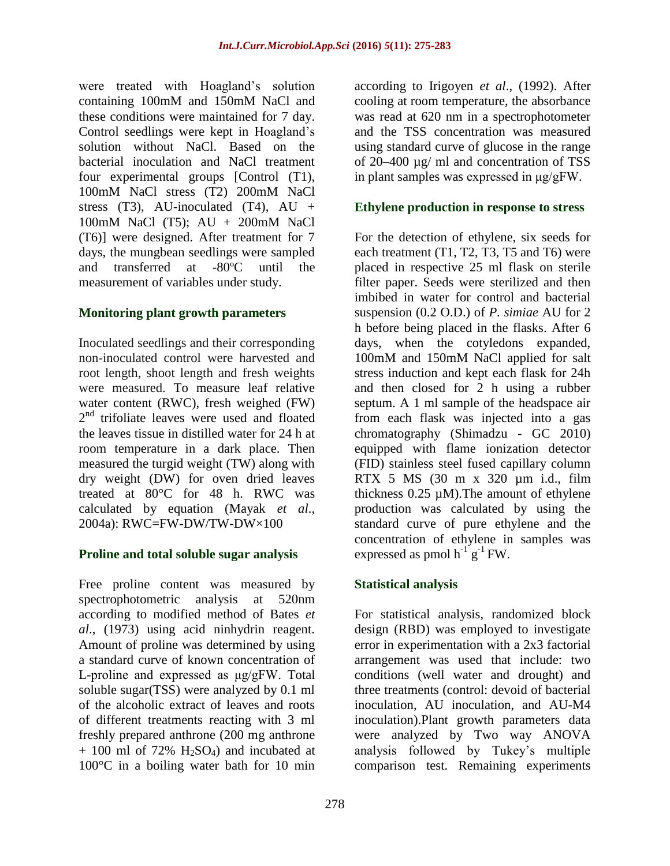were treated with Hoagland"s solution containing 100mM and 150mM NaCl and these conditions were maintained for 7 day. Control seedlings were kept in Hoagland"s solution without NaCl. Based on the bacterial inoculation and NaCl treatment four experimental groups [Control (T1), 100mM NaCl stress (T2) 200mM NaCl stress  $(T3)$ , AU-inoculated  $(T4)$ , AU + 100mM NaCl (T5); AU + 200mM NaCl (T6)] were designed. After treatment for 7 days, the mungbean seedlings were sampled and transferred at -80ºC until the measurement of variables under study.

## **Monitoring plant growth parameters**

Inoculated seedlings and their corresponding non-inoculated control were harvested and root length, shoot length and fresh weights were measured. To measure leaf relative water content (RWC), fresh weighed (FW) 2<sup>nd</sup> trifoliate leaves were used and floated the leaves tissue in distilled water for 24 h at room temperature in a dark place. Then measured the turgid weight (TW) along with dry weight (DW) for oven dried leaves treated at 80°C for 48 h. RWC was calculated by equation (Mayak *et al*., 2004a): RWC=FW-DW/TW-DW×100

#### **Proline and total soluble sugar analysis**

Free proline content was measured by spectrophotometric analysis at 520nm according to modified method of Bates *et al*., (1973) using acid ninhydrin reagent. Amount of proline was determined by using a standard curve of known concentration of L-proline and expressed as μg/gFW. Total soluble sugar(TSS) were analyzed by 0.1 ml of the alcoholic extract of leaves and roots of different treatments reacting with 3 ml freshly prepared anthrone (200 mg anthrone  $+$  100 ml of 72% H<sub>2</sub>SO<sub>4</sub>) and incubated at 100°C in a boiling water bath for 10 min

according to Irigoyen *et al*., (1992). After cooling at room temperature, the absorbance was read at 620 nm in a spectrophotometer and the TSS concentration was measured using standard curve of glucose in the range of 20–400 µg/ ml and concentration of TSS in plant samples was expressed in μg/gFW.

### **Ethylene production in response to stress**

For the detection of ethylene, six seeds for each treatment (T1, T2, T3, T5 and T6) were placed in respective 25 ml flask on sterile filter paper. Seeds were sterilized and then imbibed in water for control and bacterial suspension (0.2 O.D.) of *P. simiae* AU for 2 h before being placed in the flasks. After 6 days, when the cotyledons expanded, 100mM and 150mM NaCl applied for salt stress induction and kept each flask for 24h and then closed for 2 h using a rubber septum. A 1 ml sample of the headspace air from each flask was injected into a gas chromatography (Shimadzu - GC 2010) equipped with flame ionization detector (FID) stainless steel fused capillary column RTX 5 MS (30 m x 320 µm i.d., film thickness 0.25 µM).The amount of ethylene production was calculated by using the standard curve of pure ethylene and the concentration of ethylene in samples was expressed as pmol  $h^{-1}g^{-1}FW$ .

# **Statistical analysis**

For statistical analysis, randomized block design (RBD) was employed to investigate error in experimentation with a 2x3 factorial arrangement was used that include: two conditions (well water and drought) and three treatments (control: devoid of bacterial inoculation, AU inoculation, and AU-M4 inoculation).Plant growth parameters data were analyzed by Two way ANOVA analysis followed by Tukey"s multiple comparison test. Remaining experiments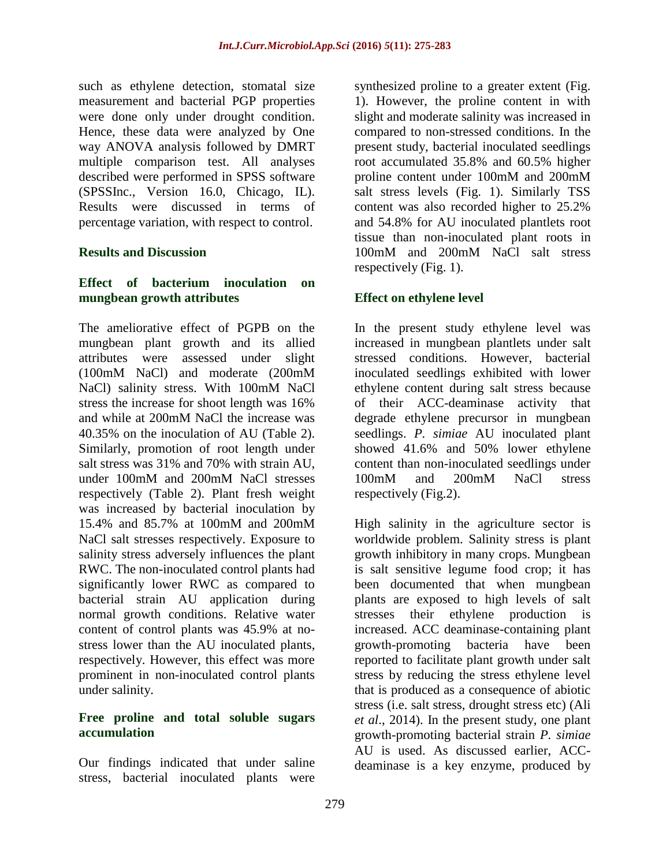such as ethylene detection, stomatal size measurement and bacterial PGP properties were done only under drought condition. Hence, these data were analyzed by One way ANOVA analysis followed by DMRT multiple comparison test. All analyses described were performed in SPSS software (SPSSInc., Version 16.0, Chicago, IL). Results were discussed in terms of percentage variation, with respect to control.

# **Results and Discussion**

# **Effect of bacterium inoculation on mungbean growth attributes**

The ameliorative effect of PGPB on the mungbean plant growth and its allied attributes were assessed under slight (100mM NaCl) and moderate (200mM NaCl) salinity stress. With 100mM NaCl stress the increase for shoot length was 16% and while at 200mM NaCl the increase was 40.35% on the inoculation of AU (Table 2). Similarly, promotion of root length under salt stress was 31% and 70% with strain AU, under 100mM and 200mM NaCl stresses respectively (Table 2). Plant fresh weight was increased by bacterial inoculation by 15.4% and 85.7% at 100mM and 200mM NaCl salt stresses respectively. Exposure to salinity stress adversely influences the plant RWC. The non-inoculated control plants had significantly lower RWC as compared to bacterial strain AU application during normal growth conditions. Relative water content of control plants was 45.9% at nostress lower than the AU inoculated plants, respectively. However, this effect was more prominent in non-inoculated control plants under salinity.

## **Free proline and total soluble sugars accumulation**

Our findings indicated that under saline stress, bacterial inoculated plants were synthesized proline to a greater extent (Fig. 1). However, the proline content in with slight and moderate salinity was increased in compared to non-stressed conditions. In the present study, bacterial inoculated seedlings root accumulated 35.8% and 60.5% higher proline content under 100mM and 200mM salt stress levels (Fig. 1). Similarly TSS content was also recorded higher to 25.2% and 54.8% for AU inoculated plantlets root tissue than non-inoculated plant roots in 100mM and 200mM NaCl salt stress respectively (Fig. 1).

# **Effect on ethylene level**

In the present study ethylene level was increased in mungbean plantlets under salt stressed conditions. However, bacterial inoculated seedlings exhibited with lower ethylene content during salt stress because of their ACC-deaminase activity that degrade ethylene precursor in mungbean seedlings. *P. simiae* AU inoculated plant showed 41.6% and 50% lower ethylene content than non-inoculated seedlings under 100mM and 200mM NaCl stress respectively (Fig.2).

High salinity in the agriculture sector is worldwide problem. Salinity stress is plant growth inhibitory in many crops. Mungbean is salt sensitive legume food crop; it has been documented that when mungbean plants are exposed to high levels of salt stresses their ethylene production is increased. ACC deaminase-containing plant growth-promoting bacteria have been reported to facilitate plant growth under salt stress by reducing the stress ethylene level that is produced as a consequence of abiotic stress (i.e. salt stress, drought stress etc) (Ali *et al*., 2014). In the present study, one plant growth-promoting bacterial strain *P. simiae*  AU is used. As discussed earlier, ACCdeaminase is a key enzyme, produced by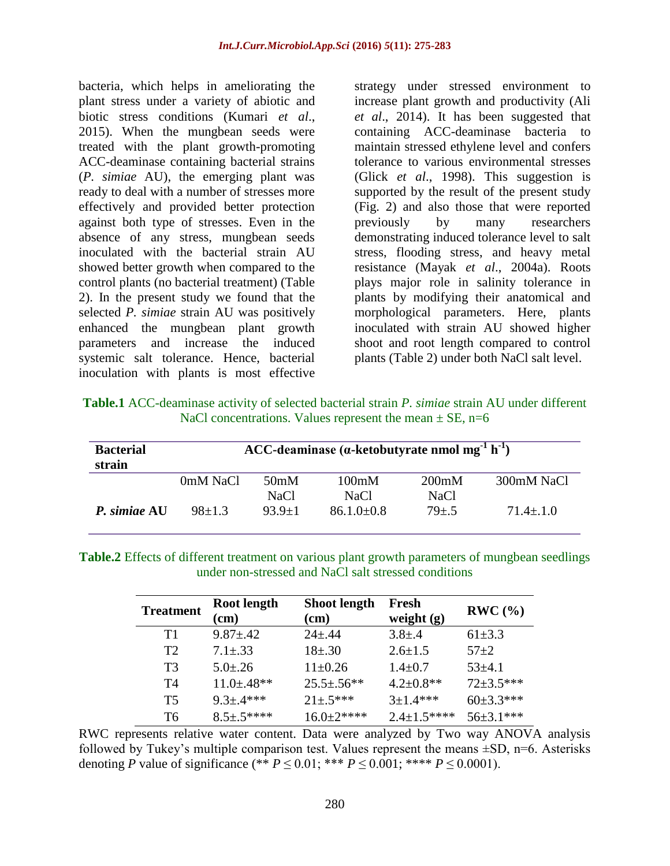bacteria, which helps in ameliorating the plant stress under a variety of abiotic and biotic stress conditions (Kumari *et al*., 2015). When the mungbean seeds were treated with the plant growth-promoting ACC-deaminase containing bacterial strains (*P. simiae* AU), the emerging plant was ready to deal with a number of stresses more effectively and provided better protection against both type of stresses. Even in the absence of any stress, mungbean seeds inoculated with the bacterial strain AU showed better growth when compared to the control plants (no bacterial treatment) (Table 2). In the present study we found that the selected *P. simiae* strain AU was positively enhanced the mungbean plant growth parameters and increase the induced systemic salt tolerance. Hence, bacterial inoculation with plants is most effective

strategy under stressed environment to increase plant growth and productivity (Ali *et al*., 2014). It has been suggested that containing ACC-deaminase bacteria to maintain stressed ethylene level and confers tolerance to various environmental stresses (Glick *et al*., 1998). This suggestion is supported by the result of the present study (Fig. 2) and also those that were reported previously by many researchers demonstrating induced tolerance level to salt stress, flooding stress, and heavy metal resistance (Mayak *et al*., 2004a). Roots plays major role in salinity tolerance in plants by modifying their anatomical and morphological parameters. Here, plants inoculated with strain AU showed higher shoot and root length compared to control plants (Table 2) under both NaCl salt level.

| <b>Table.1</b> ACC-deaminase activity of selected bacterial strain P. simiae strain AU under different |
|--------------------------------------------------------------------------------------------------------|
| NaCl concentrations. Values represent the mean $\pm$ SE, n=6                                           |

| <b>Bacterial</b><br>strain | ACC-deaminase ( $\alpha$ -ketobutyrate nmol mg <sup>-1</sup> h <sup>-1</sup> ) |                   |                |             |              |  |  |
|----------------------------|--------------------------------------------------------------------------------|-------------------|----------------|-------------|--------------|--|--|
|                            | 0mM NaCl                                                                       | 50 <sub>m</sub> M | 100mM          | 200mM       | 300mM NaCl   |  |  |
|                            |                                                                                | NaCl              | NaCl           | <b>NaCl</b> |              |  |  |
| P. simiae AU               | $98+1.3$                                                                       | $93.9 + 1$        | $86.1.0\pm0.8$ | $79 \pm .5$ | $71.4 + 1.0$ |  |  |

**Table.2** Effects of different treatment on various plant growth parameters of mungbean seedlings under non-stressed and NaCl salt stressed conditions

| <b>Treatment</b> | <b>Root length</b> | <b>Shoot length</b> | Fresh              | RWC (%)       |
|------------------|--------------------|---------------------|--------------------|---------------|
|                  | (cm)               | (cm)                | weight $(g)$       |               |
| T1               | $9.87 \pm .42$     | $24 + 44$           | $3.8{\pm}.4$       | $61\pm3.3$    |
| T2               | $7.1 \pm .33$      | $18 + .30$          | $2.6 \pm 1.5$      | $57 + 2$      |
| T3               | $5.0 \pm .26$      | $11\pm0.26$         | $1.4 \pm 0.7$      | $53 \pm 4.1$  |
| T4               | $11.0 \pm .48**$   | $25.5 \pm .56**$    | $4.2 \pm 0.8$ **   | $72+3.5***$   |
| T5               | $9.3 \pm .4***$    | $21 \pm .5***$      | $3+1.4***$         | $60\pm3.3***$ |
| T6               | $8.5 \pm .5***$    | $16.0+2***$         | $2.4 \pm 1.5$ **** | $56\pm3.1***$ |

RWC represents relative water content. Data were analyzed by Two way ANOVA analysis followed by Tukey's multiple comparison test. Values represent the means  $\pm SD$ , n=6. Asterisks denoting *P* value of significance (\*\*  $P \le 0.01$ ; \*\*\*  $P \le 0.001$ ; \*\*\*\*  $P \le 0.0001$ ).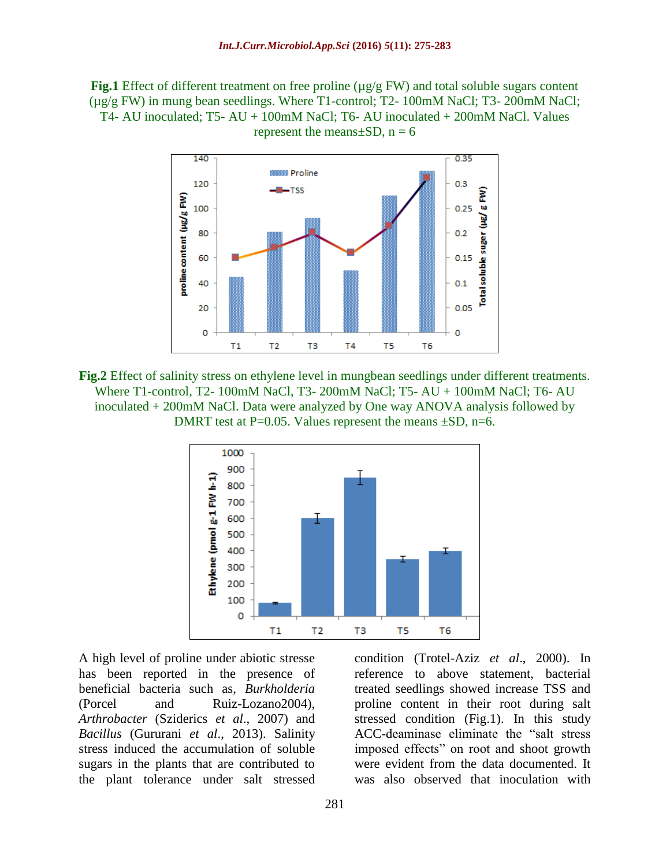**Fig.1** Effect of different treatment on free proline (µg/g FW) and total soluble sugars content  $(\mu g/g FW)$  in mung bean seedlings. Where T1-control; T2-100mM NaCl; T3-200mM NaCl; T4- AU inoculated; T5- AU + 100mM NaCl; T6- AU inoculated + 200mM NaCl. Values represent the means $\pm SD$ , n = 6



**Fig.2** Effect of salinity stress on ethylene level in mungbean seedlings under different treatments. Where T1-control, T2- 100mM NaCl, T3- 200mM NaCl; T5- AU + 100mM NaCl; T6- AU inoculated + 200mM NaCl. Data were analyzed by One way ANOVA analysis followed by DMRT test at P=0.05. Values represent the means  $\pm SD$ , n=6.



A high level of proline under abiotic stresse has been reported in the presence of beneficial bacteria such as, *Burkholderia*  (Porcel and Ruiz-Lozano2004), *Arthrobacter* (Sziderics *et al*., 2007) and *Bacillus* (Gururani *et al*., 2013). Salinity stress induced the accumulation of soluble sugars in the plants that are contributed to the plant tolerance under salt stressed

condition (Trotel-Aziz *et al*., 2000). In reference to above statement, bacterial treated seedlings showed increase TSS and proline content in their root during salt stressed condition (Fig.1). In this study ACC-deaminase eliminate the "salt stress imposed effects" on root and shoot growth were evident from the data documented. It was also observed that inoculation with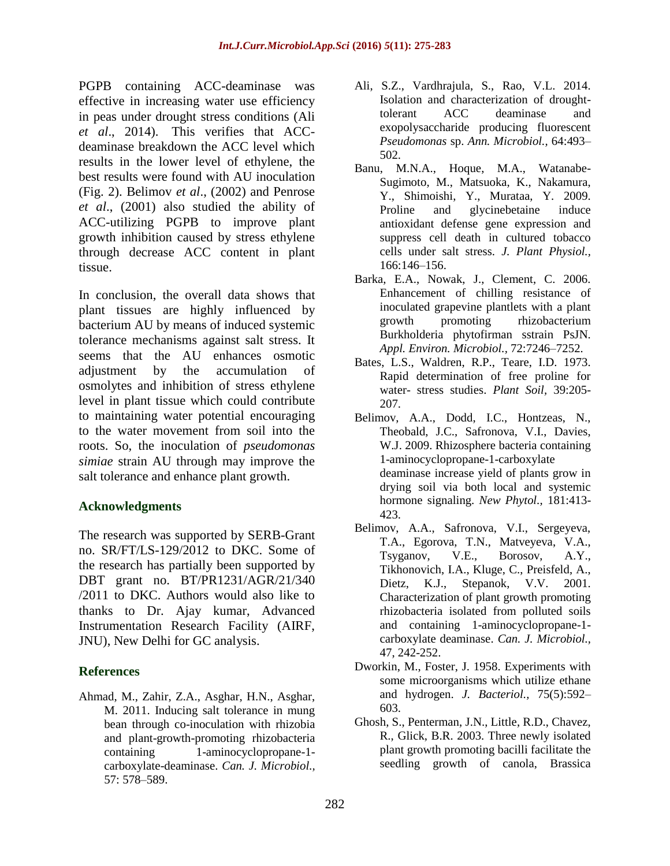PGPB containing ACC-deaminase was effective in increasing water use efficiency in peas under drought stress conditions [\(Ali](http://www.sciencedirect.com/science/article/pii/S098194281530022X#bib3) *et al*., 2014). This verifies that ACCdeaminase breakdown the ACC level which results in the lower level of ethylene, the best results were found with AU inoculation (Fig. 2). Belimov *et al*., (2002) and Penrose *et al*., (2001) also studied the ability of ACC-utilizing PGPB to improve plant growth inhibition caused by stress ethylene through decrease ACC content in plant tissue.

In conclusion, the overall data shows that plant tissues are highly influenced by bacterium AU by means of induced systemic tolerance mechanisms against salt stress. It seems that the AU enhances osmotic adjustment by the accumulation of osmolytes and inhibition of stress ethylene level in plant tissue which could contribute to maintaining water potential encouraging to the water movement from soil into the roots. So, the inoculation of *pseudomonas simiae* strain AU through may improve the salt tolerance and enhance plant growth.

# **Acknowledgments**

The research was supported by SERB-Grant no. SR/FT/LS-129/2012 to DKC. Some of the research has partially been supported by DBT grant no. BT/PR1231/AGR/21/340 /2011 to DKC. Authors would also like to thanks to Dr. Ajay kumar, Advanced Instrumentation Research Facility (AIRF, JNU), New Delhi for GC analysis.

# **References**

Ahmad, M., Zahir, Z.A., Asghar, H.N., Asghar, M. 2011. Inducing salt tolerance in mung bean through co-inoculation with rhizobia and plant-growth-promoting rhizobacteria containing 1-aminocyclopropane-1 carboxylate-deaminase. *Can. J. Microbiol.,* 57: 578–589.

- Ali, S.Z., Vardhrajula, S., Rao, V.L. 2014. Isolation and characterization of droughttolerant ACC deaminase and exopolysaccharide producing fluorescent *Pseudomonas* sp. *Ann. Microbiol.,* 64:493– 502.
- Banu, M.N.A., Hoque, M.A., Watanabe-Sugimoto, M., Matsuoka, K., Nakamura, Y., Shimoishi, Y., Murataa, Y. 2009. Proline and glycinebetaine induce antioxidant defense gene expression and suppress cell death in cultured tobacco cells under salt stress. *J. Plant Physiol.,* 166:146–156.
- Barka, E.A., Nowak, J., Clement, C. 2006. Enhancement of chilling resistance of inoculated grapevine plantlets with a plant growth promoting rhizobacterium Burkholderia phytofirman sstrain PsJN. *Appl. Environ. Microbiol.,* 72:7246–7252.
- Bates, L.S., Waldren, R.P., Teare, I.D. 1973. Rapid determination of free proline for water- stress studies. *Plant Soil,* 39:205- 207.
- Belimov, A.A., Dodd, I.C., Hontzeas, N., Theobald, J.C., Safronova, V.I., Davies, W.J. 2009. Rhizosphere bacteria containing 1-aminocyclopropane-1-carboxylate deaminase increase yield of plants grow in drying soil via both local and systemic hormone signaling. *New Phytol.,* 181:413- 423.
- Belimov, A.A., Safronova, V.I., Sergeyeva, T.A., Egorova, T.N., Matveyeva, V.A., Tsyganov, V.E., Borosov, A.Y., Tikhonovich, I.A., Kluge, C., Preisfeld, A., Dietz, K.J., Stepanok, V.V. 2001. Characterization of plant growth promoting rhizobacteria isolated from polluted soils and containing 1-aminocyclopropane-1 carboxylate deaminase. *Can. J. Microbiol.,* 47, 242-252.
- Dworkin, M., Foster, J. 1958. Experiments with some microorganisms which utilize ethane and hydrogen. *J. Bacteriol.,* 75(5):592– 603.
- Ghosh, S., Penterman, J.N., Little, R.D., Chavez, R., Glick, B.R. 2003. Three newly isolated plant growth promoting bacilli facilitate the seedling growth of canola, Brassica